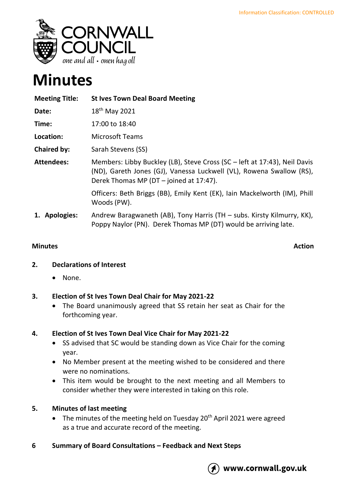

# **Minutes**

| <b>Meeting Title:</b> | <b>St Ives Town Deal Board Meeting</b>                                                                                                                                                       |
|-----------------------|----------------------------------------------------------------------------------------------------------------------------------------------------------------------------------------------|
| Date:                 | 18 <sup>th</sup> May 2021                                                                                                                                                                    |
| Time:                 | 17:00 to 18:40                                                                                                                                                                               |
| Location:             | <b>Microsoft Teams</b>                                                                                                                                                                       |
| Chaired by:           | Sarah Stevens (SS)                                                                                                                                                                           |
| <b>Attendees:</b>     | Members: Libby Buckley (LB), Steve Cross (SC – left at 17:43), Neil Davis<br>(ND), Gareth Jones (GJ), Vanessa Luckwell (VL), Rowena Swallow (RS),<br>Derek Thomas MP (DT - joined at 17:47). |
|                       | Officers: Beth Briggs (BB), Emily Kent (EK), Iain Mackelworth (IM), Phill<br>Woods (PW).                                                                                                     |
| 1. Apologies:         | Andrew Baragwaneth (AB), Tony Harris (TH - subs. Kirsty Kilmurry, KK),<br>Poppy Naylor (PN). Derek Thomas MP (DT) would be arriving late.                                                    |

## **Minutes Action**

## **2. Declarations of Interest**

• None.

## **3. Election of St Ives Town Deal Chair for May 2021-22**

• The Board unanimously agreed that SS retain her seat as Chair for the forthcoming year.

## **4. Election of St Ives Town Deal Vice Chair for May 2021-22**

- SS advised that SC would be standing down as Vice Chair for the coming year.
- No Member present at the meeting wished to be considered and there were no nominations.
- This item would be brought to the next meeting and all Members to consider whether they were interested in taking on this role.

## **5. Minutes of last meeting**

- The minutes of the meeting held on Tuesday  $20<sup>th</sup>$  April 2021 were agreed as a true and accurate record of the meeting.
- **6 Summary of Board Consultations – Feedback and Next Steps**

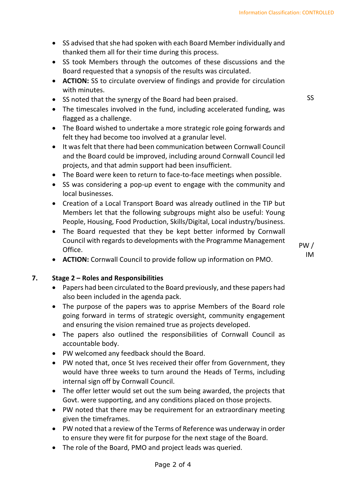- SS advised that she had spoken with each Board Member individually and thanked them all for their time during this process.
- SS took Members through the outcomes of these discussions and the Board requested that a synopsis of the results was circulated.
- **ACTION:** SS to circulate overview of findings and provide for circulation with minutes.
- SS noted that the synergy of the Board had been praised.
- The timescales involved in the fund, including accelerated funding, was flagged as a challenge.
- The Board wished to undertake a more strategic role going forwards and felt they had become too involved at a granular level.
- It was felt that there had been communication between Cornwall Council and the Board could be improved, including around Cornwall Council led projects, and that admin support had been insufficient.
- The Board were keen to return to face-to-face meetings when possible.
- SS was considering a pop-up event to engage with the community and local businesses.
- Creation of a Local Transport Board was already outlined in the TIP but Members let that the following subgroups might also be useful: Young People, Housing, Food Production, Skills/Digital, Local industry/business.
- The Board requested that they be kept better informed by Cornwall Council with regards to developments with the Programme Management Office.
- **ACTION:** Cornwall Council to provide follow up information on PMO.

#### **7. Stage 2 – Roles and Responsibilities**

- Papers had been circulated to the Board previously, and these papers had also been included in the agenda pack.
- The purpose of the papers was to apprise Members of the Board role going forward in terms of strategic oversight, community engagement and ensuring the vision remained true as projects developed.
- The papers also outlined the responsibilities of Cornwall Council as accountable body.
- PW welcomed any feedback should the Board.
- PW noted that, once St Ives received their offer from Government, they would have three weeks to turn around the Heads of Terms, including internal sign off by Cornwall Council.
- The offer letter would set out the sum being awarded, the projects that Govt. were supporting, and any conditions placed on those projects.
- PW noted that there may be requirement for an extraordinary meeting given the timeframes.
- PW noted that a review of the Terms of Reference was underway in order to ensure they were fit for purpose for the next stage of the Board.
- The role of the Board, PMO and project leads was queried.

SS

PW / IM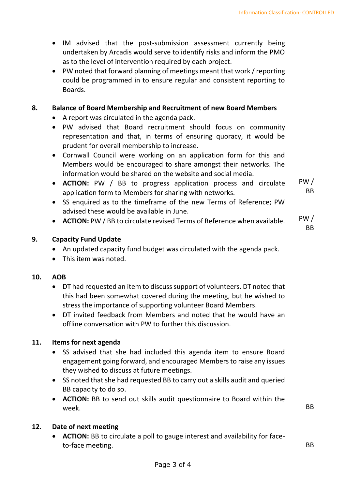- IM advised that the post-submission assessment currently being undertaken by Arcadis would serve to identify risks and inform the PMO as to the level of intervention required by each project.
- PW noted that forward planning of meetings meant that work / reporting could be programmed in to ensure regular and consistent reporting to Boards.

## **8. Balance of Board Membership and Recruitment of new Board Members**

- A report was circulated in the agenda pack.
- PW advised that Board recruitment should focus on community representation and that, in terms of ensuring quoracy, it would be prudent for overall membership to increase.
- Cornwall Council were working on an application form for this and Members would be encouraged to share amongst their networks. The information would be shared on the website and social media.
- **ACTION:** PW / BB to progress application process and circulate application form to Members for sharing with networks. PW / BB
- SS enquired as to the timeframe of the new Terms of Reference; PW advised these would be available in June.
- **ACTION:** PW / BB to circulate revised Terms of Reference when available. PW /

BB

### **9. Capacity Fund Update**

- An updated capacity fund budget was circulated with the agenda pack.
- This item was noted.

#### **10. AOB**

- DT had requested an item to discuss support of volunteers. DT noted that this had been somewhat covered during the meeting, but he wished to stress the importance of supporting volunteer Board Members.
- DT invited feedback from Members and noted that he would have an offline conversation with PW to further this discussion.

#### **11. Items for next agenda**

- SS advised that she had included this agenda item to ensure Board engagement going forward, and encouraged Members to raise any issues they wished to discuss at future meetings.
- SS noted that she had requested BB to carry out a skills audit and queried BB capacity to do so.
- **ACTION:** BB to send out skills audit questionnaire to Board within the week. BBC week. And the state of the state of the state of the state  $\mathsf{B}\mathsf{B}$

#### **12. Date of next meeting**

• **ACTION:** BB to circulate a poll to gauge interest and availability for faceto-face meeting. BB